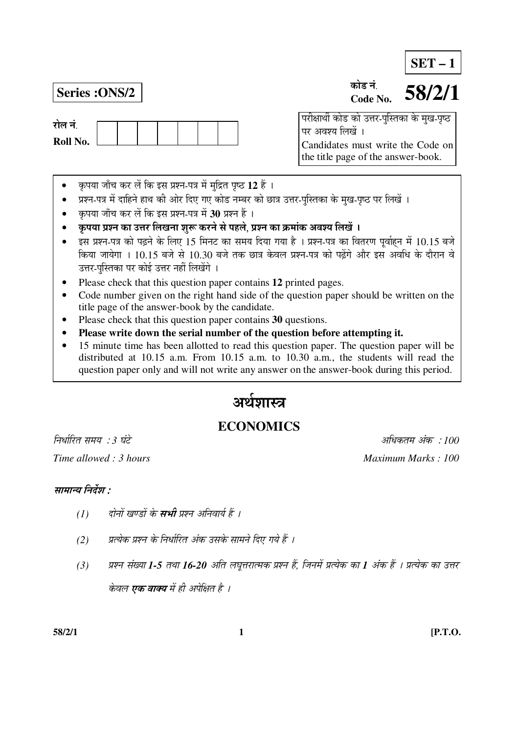**SET – 1**

रोल नं **Roll No.** 

#### **Series :ONS/2 b 58/2/1** कोड नं **Code No.**

<u>परीक्षार्थी कोड को उत्तर-पुस्तिका के मुख-पृष्ठ</u> पर अवश्य लिखें । Candidates must write the Code on the title page of the answer-book.

- कृपया जाँच कर लें कि इस प्रश्न-पत्र में मुद्रित पृष्ठ 12 हैं ।
- प्रश्न-पत्र में दाहिने हाथ की ओर दिए गए कोड नम्बर को छात्र उत्तर-पुस्तिका के मुख-पृष्ठ पर लिखें ।
- कृपया जाँच कर लें कि इस प्रश्न-पत्र में 30 प्रश्न हैं ।
- कृपया प्रश्न का उत्तर लिखना शुरू करने से पहले, प्रश्न का क्रमांक अवश्य लिखें ।
- इस प्रश्न-पत्र को पढ़ने के लिए 15 मिनट का समय दिया गया है । प्रश्न-पत्र का वितरण पर्वाहन में 10.15 बजे किया जायेगा । 10.15 बजे से 10.30 बजे तक छात्र केवल प्रश्न-पत्र को पढ़ेंगे और इस अवधि के दौरान वे उत्तर-पुस्तिका पर कोई उत्तर नहीं लिखेंगे ।
- Please check that this question paper contains **12** printed pages.
- Code number given on the right hand side of the question paper should be written on the title page of the answer-book by the candidate.
- Please check that this question paper contains **30** questions.
- **Please write down the serial number of the question before attempting it.**
- 15 minute time has been allotted to read this question paper. The question paper will be distributed at 10.15 a.m. From 10.15 a.m. to 10.30 a.m., the students will read the question paper only and will not write any answer on the answer-book during this period.

# अर्थशास्त्र

# **ECONOMICS**

×®Ö¬ÖÖÔ׸üŸÖ ÃÖ´ÖµÖ : *3* 'ÖÓ™êü †×¬ÖÛúŸÖ´Ö †ÓÛú : *100 Time allowed : 3 hours* And *Maximum Marks : 100 Maximum Marks : 100 Maximum Marks : 100* 

# सामान्य निर्देश :

- *(1) दोनों खण्डों के सभी प्रश्न अनिवार्य हैं ।*
- *(*2) यत्येक प्रश्न के निर्धारित अंक उसके सामने दिए गये हैं ।
- *(3) प्रश्न संख्या 1-5 तथा 16-20 अति लघूत्तरात्मक प्रश्न हैं, जिनमें प्रत्येक का 1 अंक हैं । प्रत्येक का उत्तर* केवल **एक वाक्य** में ही अपेक्षित है ।

**58/2/1 1 [P.T.O.**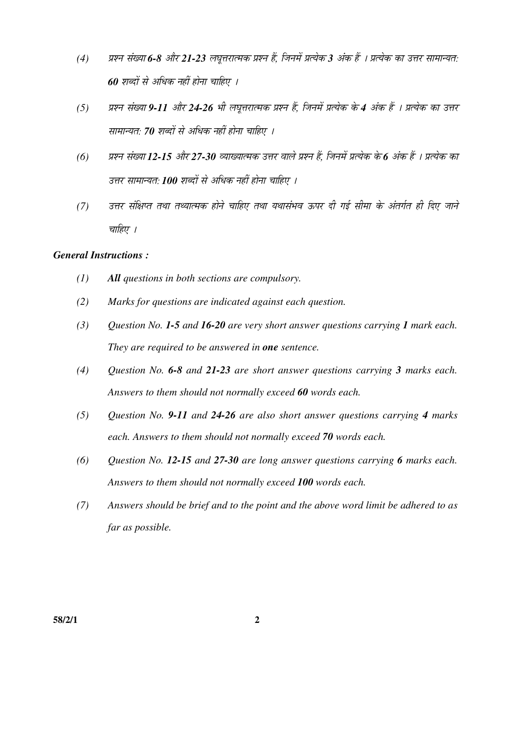- *(4)* ¯ÖÏ¿®Ö ÃÖÓܵÖÖ *6-8* †Öî¸ü *21-23* »Ö'Öæ¢Ö¸üÖŸ´ÖÛú ¯ÖÏ¿®Ö Æïü, וִ֮Öë ¯ÖÏŸµÖêÛú *3* †ÓÛú Æïü … ¯ÖÏŸµÖêÛú ÛúÖ ˆ¢Ö¸ü ÃÖÖ´ÖÖ®µÖŸÖ: *60 शब्दों से अधिक नहीं होना चाहिए ।*
- *(5) प्रश्न संख्या 9-11 और 24-26 भी लघूत्तरात्मक प्रश्न हैं, जिनमें प्रत्येक के 4 अंक हैं । प्रत्येक का उत्तर* सामान्यत: 70 शब्दों से अधिक नहीं होना चाहिए ।
- *(6) प्रश्न संख्या 12-15 और 27-30 व्याख्यात्मक उत्तर वाले प्रश्न हैं, जिनमें प्रत्येक के 6 अंक हैं । प्रत्येक का* उत्तर सामान्यत: **100** शब्दों से अधिक नहीं होना चाहिए ।
- *(7) उत्तर संक्षिप्त तथा तथ्यात्मक होने चाहिए तथा यथासंभव ऊपर दी गई सीमा के अंतर्गत ही दिए जाने* चाहिए ।

## *General Instructions :*

- *(1) All questions in both sections are compulsory.*
- *(2) Marks for questions are indicated against each question.*
- *(3) Question No. 1-5 and 16-20 are very short answer questions carrying 1 mark each. They are required to be answered in one sentence.*
- *(4) Question No. 6-8 and 21-23 are short answer questions carrying 3 marks each. Answers to them should not normally exceed 60 words each.*
- *(5) Question No. 9-11 and 24-26 are also short answer questions carrying 4 marks each. Answers to them should not normally exceed 70 words each.*
- *(6) Question No. 12-15 and 27-30 are long answer questions carrying 6 marks each. Answers to them should not normally exceed 100 words each.*
- *(7) Answers should be brief and to the point and the above word limit be adhered to as far as possible.*

**58/2/1 2**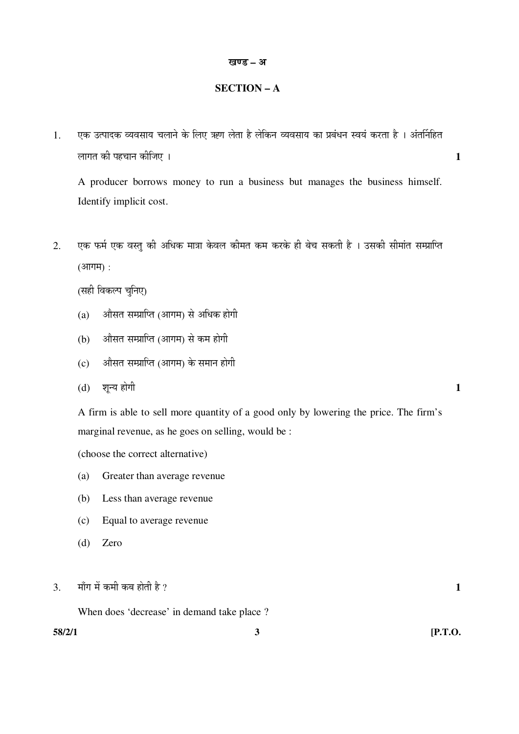### **SECTION – A**

1. एक उत्पादक व्यवसाय चलाने के लिए ऋण लेता है लेकिन व्यवसाय का प्रबंधन स्वयं करता है । अंतर्निहित »ÖÖÝÖŸÖ Ûúß ¯ÖÆü"ÖÖ®Ö Ûúßו֋ … **1** 

A producer borrows money to run a business but manages the business himself. Identify implicit cost.

2. एक फर्म एक वस्तु की अधिक मात्रा केवल कीमत कम करके ही बेच सकती है । उसकी सीमांत सम्प्राप्ति  $(3$ गगम $)$  :

(सही विकल्प चुनिए)

- (a) औसत सम्प्राप्ति (आगम) से अधिक होगी
- $(b)$   $\alpha$ औसत सम्प्राप्ति (आगम) से कम होगी
- (c) । औसत सम्प्राप्ति (आगम) के समान होगी
- (d) शून्य होगी **1**

 A firm is able to sell more quantity of a good only by lowering the price. The firm's marginal revenue, as he goes on selling, would be :

(choose the correct alternative)

- (a) Greater than average revenue
- (b) Less than average revenue
- (c) Equal to average revenue
- (d) Zero

 $\overline{3}$ . माँग में कमी कब होती है ?  $\overline{1}$ 

When does 'decrease' in demand take place ?

**58/2/1 3 [P.T.O.**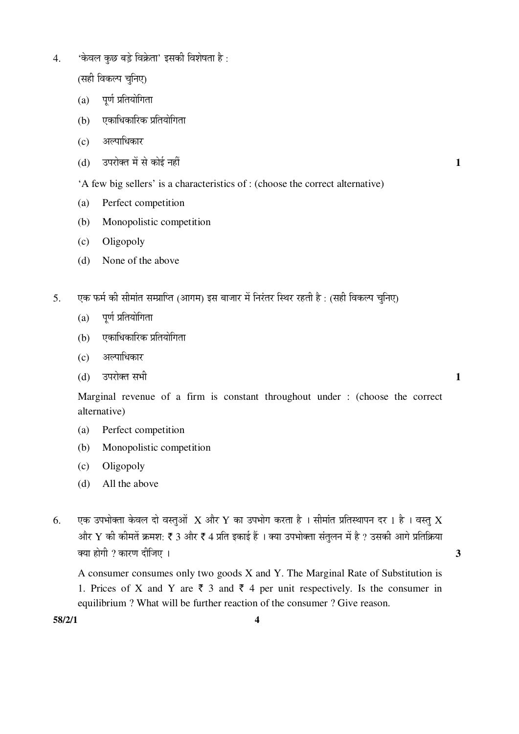'केवल कछ बड़े विक्रेता' इसकी विशेषता है:  $\overline{4}$ .

(सही विकल्प चुनिए)

- $(a)$  पूर्ण प्रतियोगिता
- एकाधिकारिक प्रतियोगिता  $(b)$
- अल्पाधिकार  $(c)$
- उपरोक्त में से कोई नहीं  $(b)$

'A few big sellers' is a characteristics of : (choose the correct alternative)

 $\mathbf{1}$ 

 $\mathbf{1}$ 

 $\overline{\mathbf{3}}$ 

- Perfect competition  $(a)$
- Monopolistic competition  $(b)$
- $(c)$ Oligopoly
- None of the above  $(d)$
- एक फर्म की सीमांत सम्प्राप्ति (आगम) इस बाजार में निरंतर स्थिर रहती है : (सही विकल्प चूनिए)  $5<sub>1</sub>$ 
	- पूर्ण प्रतियोगिता  $(a)$
	- एकाधिकारिक प्रतियोगिता  $(b)$
	- अल्पाधिकार  $(c)$
	- उपरोक्त सभी  $(d)$

Marginal revenue of a firm is constant throughout under: (choose the correct alternative)

- Perfect competition (a)
- $(b)$ Monopolistic competition
- Oligopoly  $(c)$
- All the above  $(b)$
- एक उपभोक्ता केवल दो वस्तुओं  $\,$  और  $\rm Y$  का उपभोग करता है । सीमांत प्रतिस्थापन दर 1 है । वस्तु  $\rm X$ 6. और Y की कीमतें क्रमश: ₹ 3 और ₹ 4 प्रति इकाई हैं । क्या उपभोक्ता संतुलन में है ? उसकी आगे प्रतिक्रिया क्या होगी ? कारण दीजिए ।

A consumer consumes only two goods X and Y. The Marginal Rate of Substitution is 1. Prices of X and Y are  $\overline{\zeta}$  3 and  $\overline{\zeta}$  4 per unit respectively. Is the consumer in equilibrium? What will be further reaction of the consumer? Give reason.

58/2/1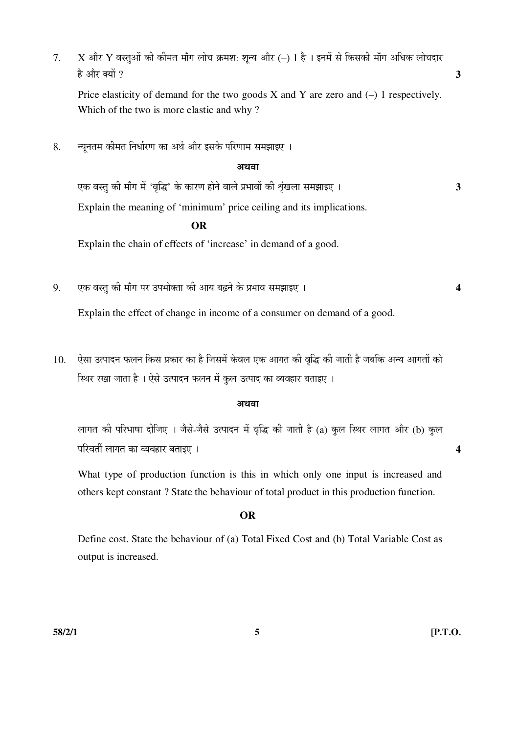$7. X$  और  $Y$  वस्तुओं की कीमत माँग लोच क्रमश: शून्य और (–) 1 है । इनमें से किसकी माँग अधिक लोचदार  $\hat{\epsilon}$  और क्यों ?  $\hat{\epsilon}$ 

Price elasticity of demand for the two goods  $X$  and  $Y$  are zero and  $(-)$  1 respectively. Which of the two is more elastic and why ?

8. न्यूनतम कीमत निर्धारण का अर्थ और इसके परिणाम समझाइए ।

#### अथवा

 $\frac{1}{2}$ एक वस्तु की माँग में 'वृद्धि' के कारण होने वाले प्रभावों की शृंखला समझाइए । Explain the meaning of 'minimum' price ceiling and its implications.

#### **OR**

Explain the chain of effects of 'increase' in demand of a good.

9. ‹Ûú ¾ÖßÖã Ûúß ´ÖÖÑÝÖ ¯Ö¸ü ˆ¯Ö³ÖÖꌟÖÖ Ûúß †ÖµÖ ²ÖœÌü®Öê Ûêú ¯ÖϳÖÖ¾Ö ÃÖ´Ö—ÖÖ‡‹ … **4** 

Explain the effect of change in income of a consumer on demand of a good.

10. ऐसा उत्पादन फलन किस प्रकार का है जिसमें केवल एक आगत की वृद्धि की जाती है जबकि अन्य आगतों को <u>स्थिर रखा जाता है । ऐसे उत्पादन फलन में कल उत्पाद का व्यवहार बताइए ।</u>

#### अथवा

लागत की परिभाषा दीजिए । जैसे-जैसे उत्पादन में वृद्धि की जाती है (a) कुल स्थिर लागत और (b) कुल ¯Ö׸ü¾ÖŸÖá »ÖÖÝÖŸÖ ÛúÖ ¾µÖ¾ÖÆüÖ¸ü ²ÖŸÖÖ‡‹ … **4** 

 What type of production function is this in which only one input is increased and others kept constant ? State the behaviour of total product in this production function.

#### **OR**

 Define cost. State the behaviour of (a) Total Fixed Cost and (b) Total Variable Cost as output is increased.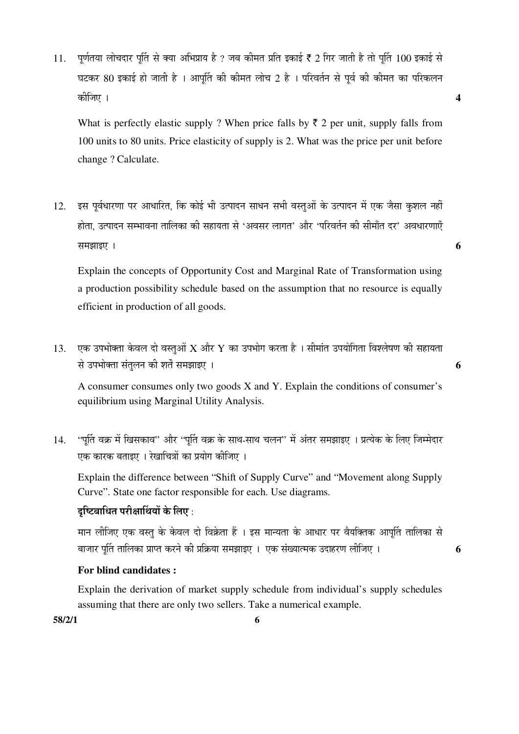$11.$  पर्णतया लोचदार पर्ति से क्या अभिप्राय है ? जब कीमत प्रति इकाई ₹ 2 गिर जाती है तो पर्ति  $100$  इकाई से घटकर 80 इकाई हो जाती है । आपत्ति की कीमत लोच 2 है । परिवर्तन से पूर्व की कीमत का परिकलन Ûúßו֋ … **4** 

What is perfectly elastic supply ? When price falls by  $\bar{\tau}$  2 per unit, supply falls from 100 units to 80 units. Price elasticity of supply is 2. What was the price per unit before change ? Calculate.

12. इस पूर्वधारणा पर आधारित, कि कोई भी उत्पादन साधन सभी वस्तुओं के उत्पादन में एक जैसा कुशल नहीं होता. उत्पादन सम्भावना तालिका की सहायता से 'अवसर लागत' और 'परिवर्तन की सीमाँत दर' अवधारणाएँ  $\overline{a}$  , and  $\overline{b}$  and  $\overline{b}$  and  $\overline{b}$  and  $\overline{b}$  and  $\overline{b}$  and  $\overline{b}$  and  $\overline{b}$  and  $\overline{b}$  and  $\overline{b}$  and  $\overline{b}$  and  $\overline{b}$  and  $\overline{b}$  and  $\overline{b}$  and  $\overline{b}$  and  $\overline{b}$  and  $\overline{b}$  a

 Explain the concepts of Opportunity Cost and Marginal Rate of Transformation using a production possibility schedule based on the assumption that no resource is equally efficient in production of all goods.

 $13.$  एक उपभोक्ता केवल दो वस्तुओं  $X$  और  $Y$  का उपभोग करता है । सीमांत उपयोगिता विश्लेषण की सहायता  $\vec{a}$  उपभोक्ता संतलन की शर्तें समझाइए ।

 A consumer consumes only two goods X and Y. Explain the conditions of consumer's equilibrium using Marginal Utility Analysis.

14. 'पुर्ति वक्र में खिसकाव'' और ''पुर्ति वक्र के साथ-साथ चलन'' में अंतर समझाइए । प्रत्येक के लिए जिम्मेदार एक कारक बताइए । रेखाचित्रों का प्रयोग कीजिए ।

 Explain the difference between "Shift of Supply Curve" and "Movement along Supply Curve". State one factor responsible for each. Use diagrams.

# दच्चित्राधित परीक्षार्थियों के लिए :

मान लीजिए एक वस्तु के केवल दो विक्रेता हैं । इस मान्यता के आधार पर वैयक्तिक आपति तालिका से ²ÖÖ•ÖÖ¸ü ¯ÖæÙŸÖ ŸÖÖ×»ÖÛúÖ ¯ÖÏÖ¯ŸÖ Ûú¸ü®Öê Ûúß ¯ÖÏ×ÛÎúµÖÖ ÃÖ´Ö—ÖÖ‡‹ … ‹Ûú ÃÖÓܵÖÖŸ´ÖÛú ˆ¤üÖÆü¸üÞÖ »Ößו֋ … **6** 

# **For blind candidates :**

 Explain the derivation of market supply schedule from individual's supply schedules assuming that there are only two sellers. Take a numerical example.

**58/2/1 6**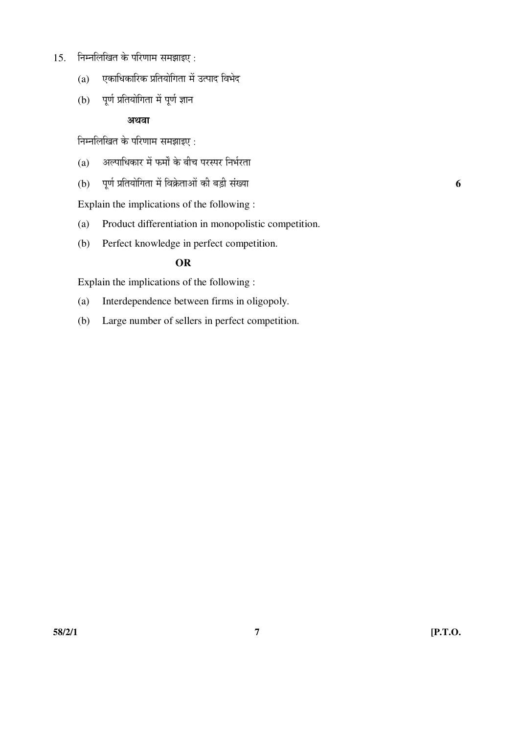- $15.$  निम्नलिखित के परिणाम समझाइए:
	- $(a)$  एकाधिकारिक प्रतियोगिता में उत्पाद विभेद
	- $(b)$  पूर्ण प्रतियोगिता में पूर्ण ज्ञान

# अथवा

<u>निम्नलिखित के परिणाम समझाइए :</u>

- $(a)$  अल्पाधिकार में फर्मों के बीच परस्पर निर्भरता
- (b) पूर्ण प्रतियोगिता में विक्रेताओं की बड़ी संख्या

Explain the implications of the following :

- (a) Product differentiation in monopolistic competition.
- (b) Perfect knowledge in perfect competition.

# **OR**

Explain the implications of the following :

- (a) Interdependence between firms in oligopoly.
- (b) Large number of sellers in perfect competition.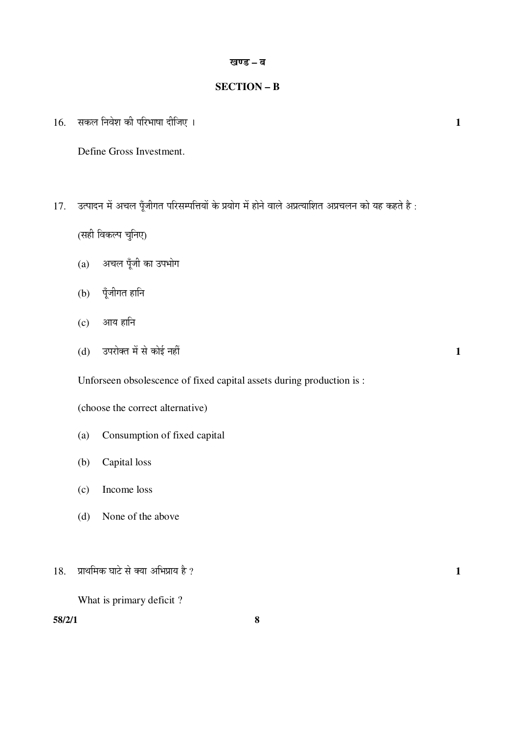### $SECTION - B$

सकल निवेश की परिभाषा दीजिए । 16.

Define Gross Investment.

उत्पादन में अचल पूँजीगत परिसम्पत्तियों के प्रयोग में होने वाले अप्रत्याशित अप्रचलन को यह कहते है: 17.

(सही विकल्प चुनिए)

- अचल पूँजी का उपभोग  $(a)$
- पूँजीगत हानि  $(b)$
- $(c)$  आय हानि
- उपरोक्त में से कोई नहीं  $(d)$

Unforseen obsolescence of fixed capital assets during production is:

(choose the correct alternative)

- Consumption of fixed capital  $(a)$
- $(b)$ Capital loss
- Income loss  $(c)$
- None of the above  $(d)$
- प्राथमिक घाटे से क्या अभिप्राय है ? 18.

What is primary deficit?

 $58/2/1$ 

 $\mathbf{1}$ 

 $\mathbf{1}$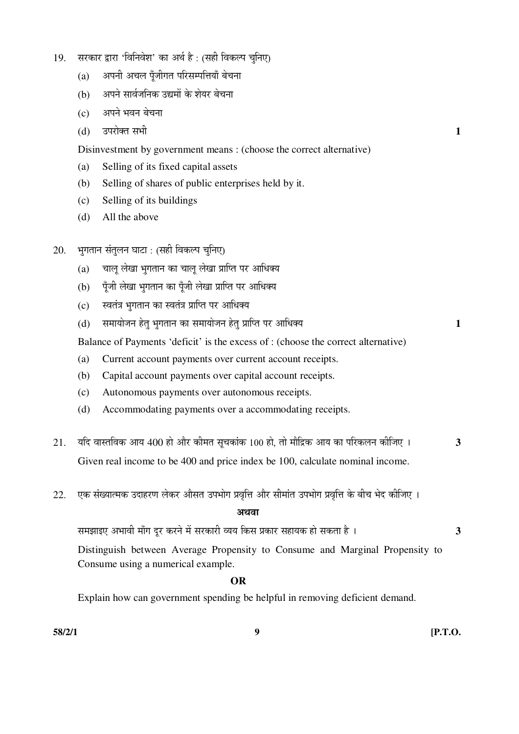- 19. सरकार द्वारा 'विनिवेश' का अर्थ है: (सही विकल्प चुनिए)
	- (a) अपनी अचल पॅंजीगत परिसम्पत्तियाँ बेचना
	- (b) । अपने सार्वजनिक उद्यमों के शेयर बेचना
	- $(c)$  अपने भवन बेचना
- $(d)$   $\bar{c}$ उपरोक्त सभी  $\bar{c}$ 
	- Disinvestment by government means : (choose the correct alternative)
	- (a) Selling of its fixed capital assets
	- (b) Selling of shares of public enterprises held by it.
	- (c) Selling of its buildings
	- (d) All the above
- $20.$  भुगतान संतुलन घाटा : (सही विकल्प चुनिए)
	- $(a)$  वालु लेखा भुगतान का चालु लेखा प्राप्ति पर आधिक्य
	- (b) पँजी लेखा भगतान का पँजी लेखा प्राप्ति पर आधिक्य
	- (c) स्वतंत्र भगतान का स्वतंत्र प्राप्ति पर आधिक्य
	- (d) ÃÖ´ÖÖµÖÖê•Ö®Ö ÆêüŸÖã ³ÖãÝÖŸÖÖ®Ö ÛúÖ ÃÖ´ÖÖµÖÖê•Ö®Ö ÆêüŸÖã ¯ÖÏÖׯŸÖ ¯Ö¸ü †Ö׬֌µÖ **1**

Balance of Payments 'deficit' is the excess of : (choose the correct alternative)

- (a) Current account payments over current account receipts.
- (b) Capital account payments over capital account receipts.
- (c) Autonomous payments over autonomous receipts.
- (d) Accommodating payments over a accommodating receipts.
- $21.$  यदि वास्तविक आय 400 हो और कीमत सूचकांक 100 हो, तो मौद्रिक आय का परिकलन कीजिए । 3 Given real income to be 400 and price index be 100, calculate nominal income.
- 22. एक संख्यात्मक उदाहरण लेकर औसत उपभोग प्रवृत्ति और सीमांत उपभोग प्रवृत्ति के बीच भेद कीजिए ।

### अथवा

ÃÖ´Ö—ÖÖ‡‹ †³ÖÖ¾Öß ´ÖÖÑÝÖ ¤æü¸ü Ûú¸ü®Öê ´Öë ÃÖ¸üÛúÖ¸üß ¾µÖµÖ ×ÛúÃÖ ¯ÖÏÛúÖ¸ü ÃÖÆüÖµÖÛú ÆüÖê ÃÖÛúŸÖÖ Æîü … **3**

 Distinguish between Average Propensity to Consume and Marginal Propensity to Consume using a numerical example.

### **OR**

Explain how can government spending be helpful in removing deficient demand.

**58/2/1 9 [P.T.O.**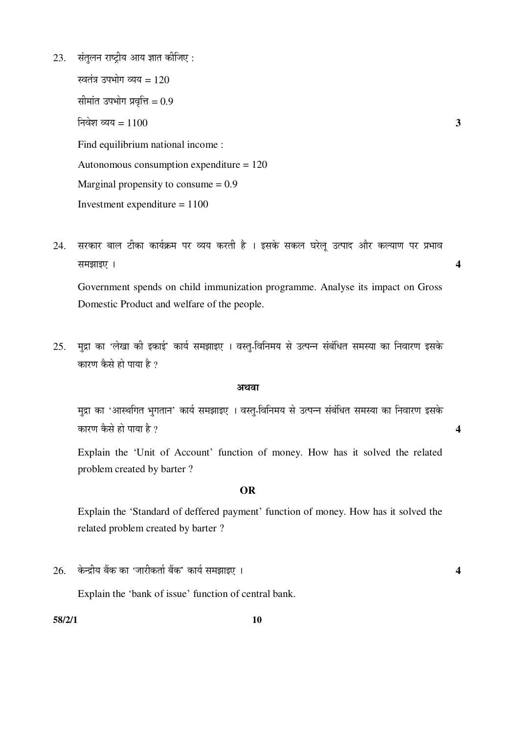$23.$  संतुलन राष्ट्रीय आय ज्ञात कीजिए :

स्वतंत्र उपभोग व्यय = 120 सीमांत उपभोग प्रवृत्ति $= 0.9$  $\overline{a}$ चिश व्यय = 1100  $\overline{a}$  Find equilibrium national income : Autonomous consumption expenditure = 120 Marginal propensity to consume  $= 0.9$ Investment expenditure  $= 1100$ 

24. सरकार बाल टीका कार्यक्रम पर व्यय करती है । इसके सकल घरेलू उत्पाद और कल्याण पर प्रभाव  $\overline{a}$  **a** 

 Government spends on child immunization programme. Analyse its impact on Gross Domestic Product and welfare of the people.

25. मुद्रा का 'लेखा की इकाई' कार्य समझाइए । वस्तु-विनिमय से उत्पन्न संबंधित समस्या का निवारण इसके कारण कैसे हो पाया है ?

#### अथवा

मुद्रा का 'आस्थगित भुगतान' कार्य समझाइए । वस्त्-विनिमय से उत्पन्न संबंधित समस्या का निवारण इसके  $\vec{a}$ कारण कैसे हो पाया है ?  $\vec{a}$ 

 Explain the 'Unit of Account' function of money. How has it solved the related problem created by barter ?

#### **OR**

 Explain the 'Standard of deffered payment' function of money. How has it solved the related problem created by barter ?

26. Ûêú®¦üßµÖ ²ÖïÛú ÛúÖ '•ÖÖ¸üßÛúŸÖÖÔ ²ÖïÛú' ÛúÖµÖÔ ÃÖ´Ö—ÖÖ‡‹ … **4** 

Explain the 'bank of issue' function of central bank.

**58/2/1 10**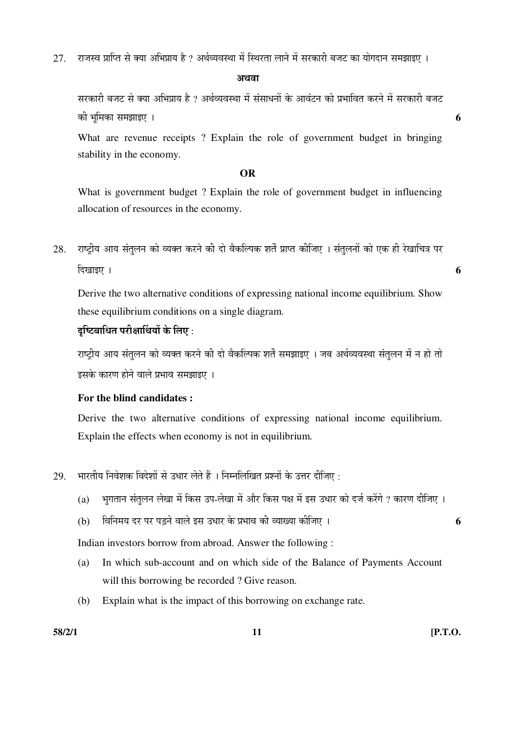$27$   $\,$  राजस्व प्राप्ति से क्या अभिप्राय है ? अर्थव्यवस्था में स्थिरता लाने में सरकारी बजट का योगदान समझाइए ।

अथवा

सरकारी बजट से क्या अभिप्राय है ? अर्थव्यवस्था में संसाधनों के आवंटन को प्रभावित करने में सरकारी बजट Ûúß ³Öæ×´ÖÛúÖ ÃÖ´Ö—ÖÖ‡‹ … **6** 

 What are revenue receipts ? Explain the role of government budget in bringing stability in the economy.

#### **OR**

 What is government budget ? Explain the role of government budget in influencing allocation of resources in the economy.

28. राष्टीय आय संतलन को व्यक्त करने की दो वैकल्पिक शर्तें प्राप्त कीजिए । संतलनों को एक ही रेखाचित्र पर  $\frac{1}{2}$  । Exercise  $\frac{1}{2}$ 

 Derive the two alternative conditions of expressing national income equilibrium. Show these equilibrium conditions on a single diagram.

# दच्चित्नाधित परीक्षार्थियों के लिए :

राष्टीय आय संतलन को व्यक्त करने की दो वैकल्पिक शर्तें समझाइए । जब अर्थव्यवस्था संतलन में न हो तो इसके कारण होने वाले प्रभाव समझाइए ।

# **For the blind candidates :**

 Derive the two alternative conditions of expressing national income equilibrium. Explain the effects when economy is not in equilibrium.

- $29.$  भारतीय निवेशक विदेशों से उधार लेते हैं । निम्नलिखित प्रश्नों के उत्तर दीजिए :
	- (a) भुगतान संतुलन लेखा में किस उप-लेखा में और किस पक्ष में इस उधार को दर्ज करेंगे ? कारण दीजिए ।
	- (b) ×¾Ö×®Ö´ÖµÖ ¤ü¸ü ¯Ö¸ü ¯Ö›Ìü®Öê ¾ÖÖ»Öê ‡ÃÖ ˆ¬ÖÖ¸ü Ûêú ¯ÖϳÖÖ¾Ö Ûúß ¾µÖÖܵÖÖ Ûúßו֋ … **6**

Indian investors borrow from abroad. Answer the following :

- (a) In which sub-account and on which side of the Balance of Payments Account will this borrowing be recorded ? Give reason.
- (b) Explain what is the impact of this borrowing on exchange rate.